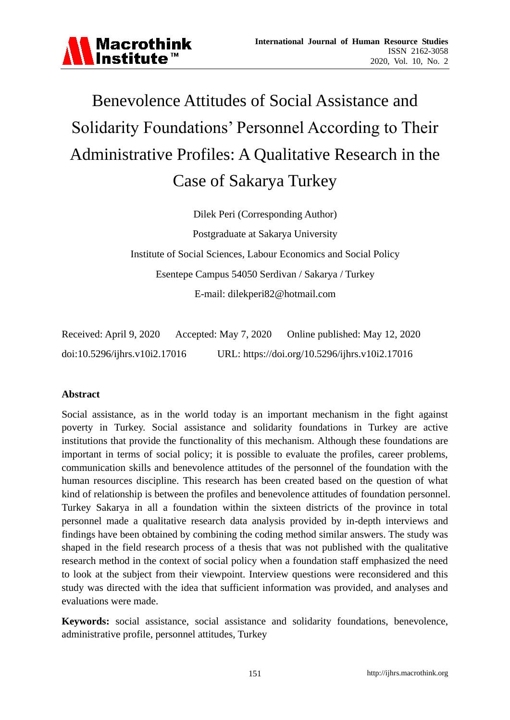

# Benevolence Attitudes of Social Assistance and Solidarity Foundations' Personnel According to Their Administrative Profiles: A Qualitative Research in the Case of Sakarya Turkey

Dilek Peri (Corresponding Author) Postgraduate at Sakarya University Institute of Social Sciences, Labour Economics and Social Policy Esentepe Campus 54050 Serdivan / Sakarya / Turkey E-mail: dilekperi82@hotmail.com

Received: April 9, 2020 Accepted: May 7, 2020 Online published: May 12, 2020 doi:10.5296/ijhrs.v10i2.17016 URL: https://doi.org/10.5296/ijhrs.v10i2.17016

#### **Abstract**

Social assistance, as in the world today is an important mechanism in the fight against poverty in Turkey. Social assistance and solidarity foundations in Turkey are active institutions that provide the functionality of this mechanism. Although these foundations are important in terms of social policy; it is possible to evaluate the profiles, career problems, communication skills and benevolence attitudes of the personnel of the foundation with the human resources discipline. This research has been created based on the question of what kind of relationship is between the profiles and benevolence attitudes of foundation personnel. Turkey Sakarya in all a foundation within the sixteen districts of the province in total personnel made a qualitative research data analysis provided by in-depth interviews and findings have been obtained by combining the coding method similar answers. The study was shaped in the field research process of a thesis that was not published with the qualitative research method in the context of social policy when a foundation staff emphasized the need to look at the subject from their viewpoint. Interview questions were reconsidered and this study was directed with the idea that sufficient information was provided, and analyses and evaluations were made.

**Keywords:** social assistance, social assistance and solidarity foundations, benevolence, administrative profile, personnel attitudes, Turkey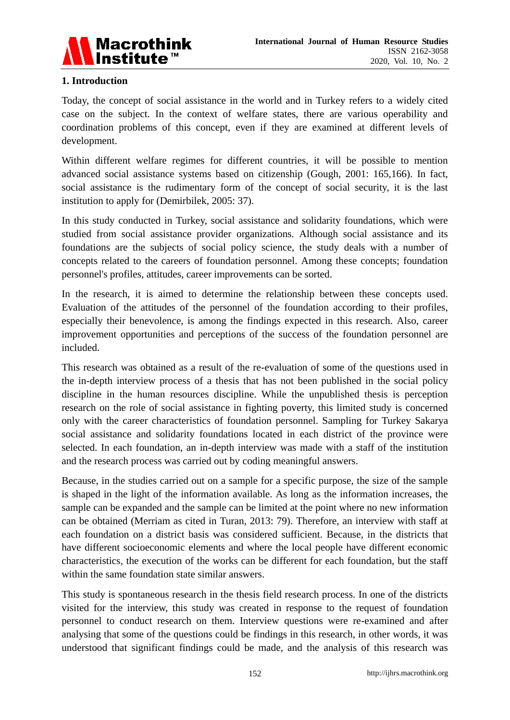

# **1. Introduction**

Today, the concept of social assistance in the world and in Turkey refers to a widely cited case on the subject. In the context of welfare states, there are various operability and coordination problems of this concept, even if they are examined at different levels of development.

Within different welfare regimes for different countries, it will be possible to mention advanced social assistance systems based on citizenship (Gough, 2001: 165,166). In fact, social assistance is the rudimentary form of the concept of social security, it is the last institution to apply for (Demirbilek, 2005: 37).

In this study conducted in Turkey, social assistance and solidarity foundations, which were studied from social assistance provider organizations. Although social assistance and its foundations are the subjects of social policy science, the study deals with a number of concepts related to the careers of foundation personnel. Among these concepts; foundation personnel's profiles, attitudes, career improvements can be sorted.

In the research, it is aimed to determine the relationship between these concepts used. Evaluation of the attitudes of the personnel of the foundation according to their profiles, especially their benevolence, is among the findings expected in this research. Also, career improvement opportunities and perceptions of the success of the foundation personnel are included.

This research was obtained as a result of the re-evaluation of some of the questions used in the in-depth interview process of a thesis that has not been published in the social policy discipline in the human resources discipline. While the unpublished thesis is perception research on the role of social assistance in fighting poverty, this limited study is concerned only with the career characteristics of foundation personnel. Sampling for Turkey Sakarya social assistance and solidarity foundations located in each district of the province were selected. In each foundation, an in-depth interview was made with a staff of the institution and the research process was carried out by coding meaningful answers.

Because, in the studies carried out on a sample for a specific purpose, the size of the sample is shaped in the light of the information available. As long as the information increases, the sample can be expanded and the sample can be limited at the point where no new information can be obtained (Merriam as cited in Turan, 2013: 79). Therefore, an interview with staff at each foundation on a district basis was considered sufficient. Because, in the districts that have different socioeconomic elements and where the local people have different economic characteristics, the execution of the works can be different for each foundation, but the staff within the same foundation state similar answers.

This study is spontaneous research in the thesis field research process. In one of the districts visited for the interview, this study was created in response to the request of foundation personnel to conduct research on them. Interview questions were re-examined and after analysing that some of the questions could be findings in this research, in other words, it was understood that significant findings could be made, and the analysis of this research was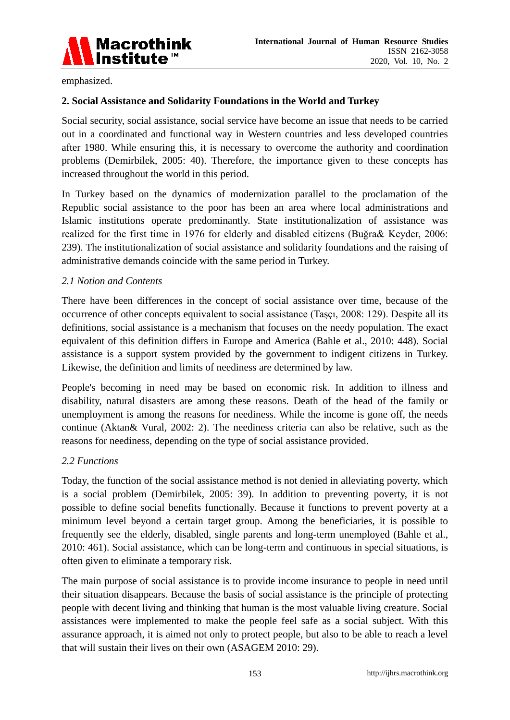

emphasized.

# **2. Social Assistance and Solidarity Foundations in the World and Turkey**

Social security, social assistance, social service have become an issue that needs to be carried out in a coordinated and functional way in Western countries and less developed countries after 1980. While ensuring this, it is necessary to overcome the authority and coordination problems (Demirbilek, 2005: 40). Therefore, the importance given to these concepts has increased throughout the world in this period.

In Turkey based on the dynamics of modernization parallel to the proclamation of the Republic social assistance to the poor has been an area where local administrations and Islamic institutions operate predominantly. State institutionalization of assistance was realized for the first time in 1976 for elderly and disabled citizens (Buğra& Keyder, 2006: 239). The institutionalization of social assistance and solidarity foundations and the raising of administrative demands coincide with the same period in Turkey.

# *2.1 Notion and Contents*

There have been differences in the concept of social assistance over time, because of the occurrence of other concepts equivalent to social assistance (Taşçı, 2008: 129). Despite all its definitions, social assistance is a mechanism that focuses on the needy population. The exact equivalent of this definition differs in Europe and America (Bahle et al., 2010: 448). Social assistance is a support system provided by the government to indigent citizens in Turkey. Likewise, the definition and limits of neediness are determined by law.

People's becoming in need may be based on economic risk. In addition to illness and disability, natural disasters are among these reasons. Death of the head of the family or unemployment is among the reasons for neediness. While the income is gone off, the needs continue (Aktan& Vural, 2002: 2). The neediness criteria can also be relative, such as the reasons for neediness, depending on the type of social assistance provided.

#### *2.2 Functions*

Today, the function of the social assistance method is not denied in alleviating poverty, which is a social problem (Demirbilek, 2005: 39). In addition to preventing poverty, it is not possible to define social benefits functionally. Because it functions to prevent poverty at a minimum level beyond a certain target group. Among the beneficiaries, it is possible to frequently see the elderly, disabled, single parents and long-term unemployed (Bahle et al., 2010: 461). Social assistance, which can be long-term and continuous in special situations, is often given to eliminate a temporary risk.

The main purpose of social assistance is to provide income insurance to people in need until their situation disappears. Because the basis of social assistance is the principle of protecting people with decent living and thinking that human is the most valuable living creature. Social assistances were implemented to make the people feel safe as a social subject. With this assurance approach, it is aimed not only to protect people, but also to be able to reach a level that will sustain their lives on their own (ASAGEM 2010: 29).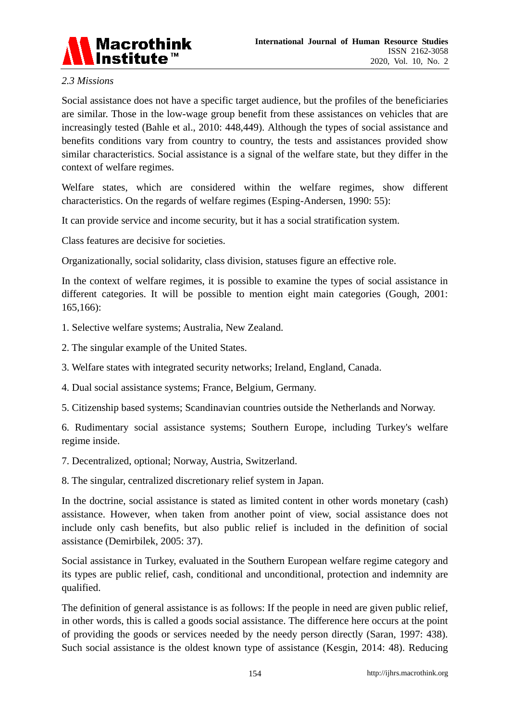

### *2.3 Missions*

Social assistance does not have a specific target audience, but the profiles of the beneficiaries are similar. Those in the low-wage group benefit from these assistances on vehicles that are increasingly tested (Bahle et al., 2010: 448,449). Although the types of social assistance and benefits conditions vary from country to country, the tests and assistances provided show similar characteristics. Social assistance is a signal of the welfare state, but they differ in the context of welfare regimes.

Welfare states, which are considered within the welfare regimes, show different characteristics. On the regards of welfare regimes (Esping-Andersen, 1990: 55):

It can provide service and income security, but it has a social stratification system.

Class features are decisive for societies.

Organizationally, social solidarity, class division, statuses figure an effective role.

In the context of welfare regimes, it is possible to examine the types of social assistance in different categories. It will be possible to mention eight main categories (Gough, 2001: 165,166):

- 1. Selective welfare systems; Australia, New Zealand.
- 2. The singular example of the United States.
- 3. Welfare states with integrated security networks; Ireland, England, Canada.
- 4. Dual social assistance systems; France, Belgium, Germany.
- 5. Citizenship based systems; Scandinavian countries outside the Netherlands and Norway.

6. Rudimentary social assistance systems; Southern Europe, including Turkey's welfare regime inside.

7. Decentralized, optional; Norway, Austria, Switzerland.

8. The singular, centralized discretionary relief system in Japan.

In the doctrine, social assistance is stated as limited content in other words monetary (cash) assistance. However, when taken from another point of view, social assistance does not include only cash benefits, but also public relief is included in the definition of social assistance (Demirbilek, 2005: 37).

Social assistance in Turkey, evaluated in the Southern European welfare regime category and its types are public relief, cash, conditional and unconditional, protection and indemnity are qualified.

The definition of general assistance is as follows: If the people in need are given public relief, in other words, this is called a goods social assistance. The difference here occurs at the point of providing the goods or services needed by the needy person directly (Saran, 1997: 438). Such social assistance is the oldest known type of assistance (Kesgin, 2014: 48). Reducing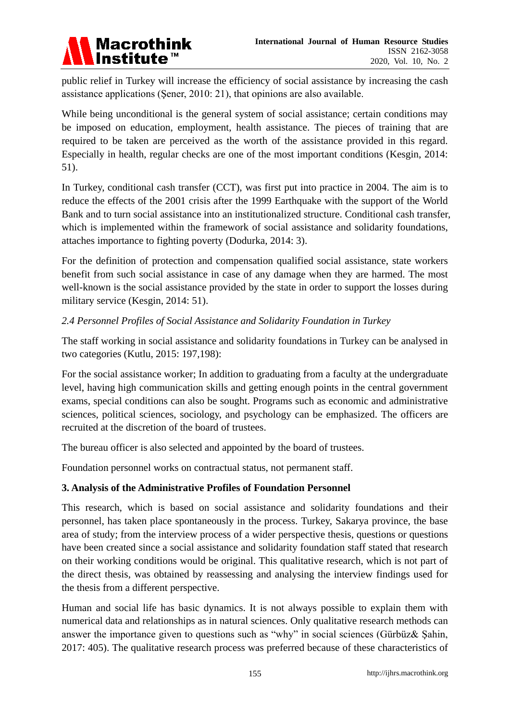

public relief in Turkey will increase the efficiency of social assistance by increasing the cash assistance applications (Şener, 2010: 21), that opinions are also available.

While being unconditional is the general system of social assistance; certain conditions may be imposed on education, employment, health assistance. The pieces of training that are required to be taken are perceived as the worth of the assistance provided in this regard. Especially in health, regular checks are one of the most important conditions (Kesgin, 2014: 51).

In Turkey, conditional cash transfer (CCT), was first put into practice in 2004. The aim is to reduce the effects of the 2001 crisis after the 1999 Earthquake with the support of the World Bank and to turn social assistance into an institutionalized structure. Conditional cash transfer, which is implemented within the framework of social assistance and solidarity foundations, attaches importance to fighting poverty (Dodurka, 2014: 3).

For the definition of protection and compensation qualified social assistance, state workers benefit from such social assistance in case of any damage when they are harmed. The most well-known is the social assistance provided by the state in order to support the losses during military service (Kesgin, 2014: 51).

# *2.4 Personnel Profiles of Social Assistance and Solidarity Foundation in Turkey*

The staff working in social assistance and solidarity foundations in Turkey can be analysed in two categories (Kutlu, 2015: 197,198):

For the social assistance worker; In addition to graduating from a faculty at the undergraduate level, having high communication skills and getting enough points in the central government exams, special conditions can also be sought. Programs such as economic and administrative sciences, political sciences, sociology, and psychology can be emphasized. The officers are recruited at the discretion of the board of trustees.

The bureau officer is also selected and appointed by the board of trustees.

Foundation personnel works on contractual status, not permanent staff.

# **3. Analysis of the Administrative Profiles of Foundation Personnel**

This research, which is based on social assistance and solidarity foundations and their personnel, has taken place spontaneously in the process. Turkey, Sakarya province, the base area of study; from the interview process of a wider perspective thesis, questions or questions have been created since a social assistance and solidarity foundation staff stated that research on their working conditions would be original. This qualitative research, which is not part of the direct thesis, was obtained by reassessing and analysing the interview findings used for the thesis from a different perspective.

Human and social life has basic dynamics. It is not always possible to explain them with numerical data and relationships as in natural sciences. Only qualitative research methods can answer the importance given to questions such as "why" in social sciences (Gürbüz& Şahin, 2017: 405). The qualitative research process was preferred because of these characteristics of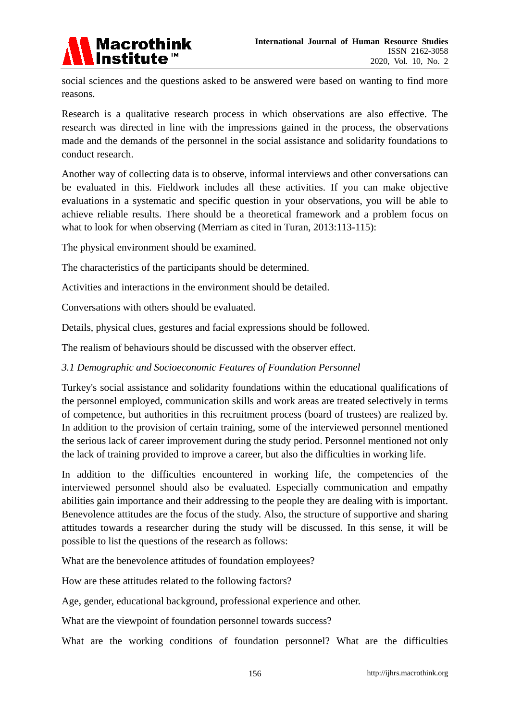

social sciences and the questions asked to be answered were based on wanting to find more reasons.

Research is a qualitative research process in which observations are also effective. The research was directed in line with the impressions gained in the process, the observations made and the demands of the personnel in the social assistance and solidarity foundations to conduct research.

Another way of collecting data is to observe, informal interviews and other conversations can be evaluated in this. Fieldwork includes all these activities. If you can make objective evaluations in a systematic and specific question in your observations, you will be able to achieve reliable results. There should be a theoretical framework and a problem focus on what to look for when observing (Merriam as cited in Turan, 2013:113-115):

The physical environment should be examined.

The characteristics of the participants should be determined.

Activities and interactions in the environment should be detailed.

Conversations with others should be evaluated.

Details, physical clues, gestures and facial expressions should be followed.

The realism of behaviours should be discussed with the observer effect.

# *3.1 Demographic and Socioeconomic Features of Foundation Personnel*

Turkey's social assistance and solidarity foundations within the educational qualifications of the personnel employed, communication skills and work areas are treated selectively in terms of competence, but authorities in this recruitment process (board of trustees) are realized by. In addition to the provision of certain training, some of the interviewed personnel mentioned the serious lack of career improvement during the study period. Personnel mentioned not only the lack of training provided to improve a career, but also the difficulties in working life.

In addition to the difficulties encountered in working life, the competencies of the interviewed personnel should also be evaluated. Especially communication and empathy abilities gain importance and their addressing to the people they are dealing with is important. Benevolence attitudes are the focus of the study. Also, the structure of supportive and sharing attitudes towards a researcher during the study will be discussed. In this sense, it will be possible to list the questions of the research as follows:

What are the benevolence attitudes of foundation employees?

How are these attitudes related to the following factors?

Age, gender, educational background, professional experience and other.

What are the viewpoint of foundation personnel towards success?

What are the working conditions of foundation personnel? What are the difficulties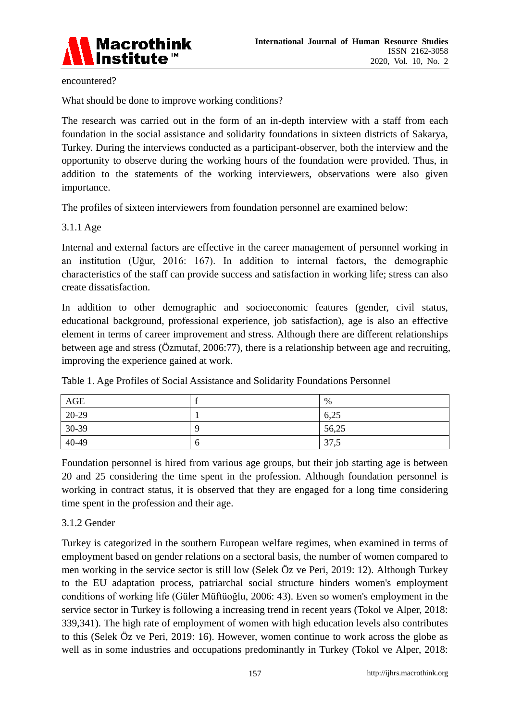

encountered?

What should be done to improve working conditions?

The research was carried out in the form of an in-depth interview with a staff from each foundation in the social assistance and solidarity foundations in sixteen districts of Sakarya, Turkey. During the interviews conducted as a participant-observer, both the interview and the opportunity to observe during the working hours of the foundation were provided. Thus, in addition to the statements of the working interviewers, observations were also given importance.

The profiles of sixteen interviewers from foundation personnel are examined below:

#### 3.1.1 Age

Internal and external factors are effective in the career management of personnel working in an institution (Uğur, 2016: 167). In addition to internal factors, the demographic characteristics of the staff can provide success and satisfaction in working life; stress can also create dissatisfaction.

In addition to other demographic and socioeconomic features (gender, civil status, educational background, professional experience, job satisfaction), age is also an effective element in terms of career improvement and stress. Although there are different relationships between age and stress (Özmutaf, 2006:77), there is a relationship between age and recruiting, improving the experience gained at work.

| AGE   |             | %     |
|-------|-------------|-------|
| 20-29 |             | 6,25  |
| 30-39 | Ο           | 56,25 |
| 40-49 | $\mathbf 0$ | 37,5  |

Table 1. Age Profiles of Social Assistance and Solidarity Foundations Personnel

Foundation personnel is hired from various age groups, but their job starting age is between 20 and 25 considering the time spent in the profession. Although foundation personnel is working in contract status, it is observed that they are engaged for a long time considering time spent in the profession and their age.

# 3.1.2 Gender

Turkey is categorized in the southern European welfare regimes, when examined in terms of employment based on gender relations on a sectoral basis, the number of women compared to men working in the service sector is still low (Selek Öz ve Peri, 2019: 12). Although Turkey to the EU adaptation process, patriarchal social structure hinders women's employment conditions of working life (Güler Müftüoğlu, 2006: 43). Even so women's employment in the service sector in Turkey is following a increasing trend in recent years (Tokol ve Alper, 2018: 339,341). The high rate of employment of women with high education levels also contributes to this (Selek Öz ve Peri, 2019: 16). However, women continue to work across the globe as well as in some industries and occupations predominantly in Turkey (Tokol ve Alper, 2018: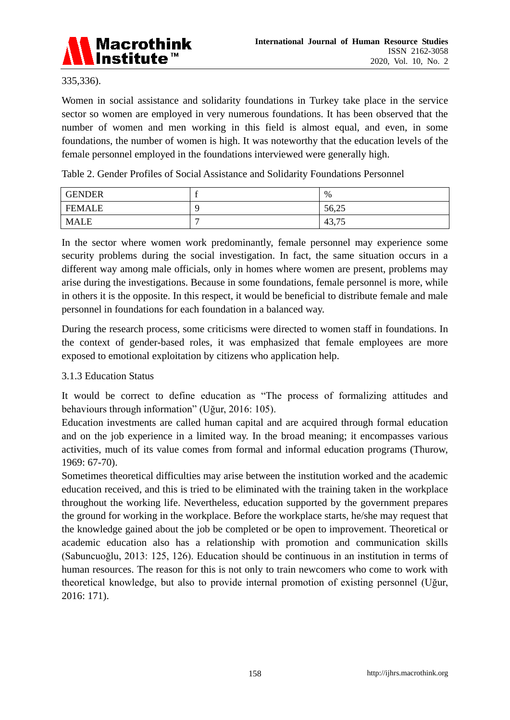

#### 335,336).

Women in social assistance and solidarity foundations in Turkey take place in the service sector so women are employed in very numerous foundations. It has been observed that the number of women and men working in this field is almost equal, and even, in some foundations, the number of women is high. It was noteworthy that the education levels of the female personnel employed in the foundations interviewed were generally high.

Table 2. Gender Profiles of Social Assistance and Solidarity Foundations Personnel

| <b>GENDER</b> |   | $\%$                                           |
|---------------|---|------------------------------------------------|
| <b>FEMALE</b> |   | 56,25                                          |
| <b>MALE</b>   | ┍ | $\overline{\phantom{a}}$<br>$\Lambda$<br>43,15 |

In the sector where women work predominantly, female personnel may experience some security problems during the social investigation. In fact, the same situation occurs in a different way among male officials, only in homes where women are present, problems may arise during the investigations. Because in some foundations, female personnel is more, while in others it is the opposite. In this respect, it would be beneficial to distribute female and male personnel in foundations for each foundation in a balanced way.

During the research process, some criticisms were directed to women staff in foundations. In the context of gender-based roles, it was emphasized that female employees are more exposed to emotional exploitation by citizens who application help.

# 3.1.3 Education Status

It would be correct to define education as "The process of formalizing attitudes and behaviours through information" (Uğur, 2016: 105).

Education investments are called human capital and are acquired through formal education and on the job experience in a limited way. In the broad meaning; it encompasses various activities, much of its value comes from formal and informal education programs (Thurow, 1969: 67-70).

Sometimes theoretical difficulties may arise between the institution worked and the academic education received, and this is tried to be eliminated with the training taken in the workplace throughout the working life. Nevertheless, education supported by the government prepares the ground for working in the workplace. Before the workplace starts, he/she may request that the knowledge gained about the job be completed or be open to improvement. Theoretical or academic education also has a relationship with promotion and communication skills (Sabuncuoğlu, 2013: 125, 126). Education should be continuous in an institution in terms of human resources. The reason for this is not only to train newcomers who come to work with theoretical knowledge, but also to provide internal promotion of existing personnel (Uğur, 2016: 171).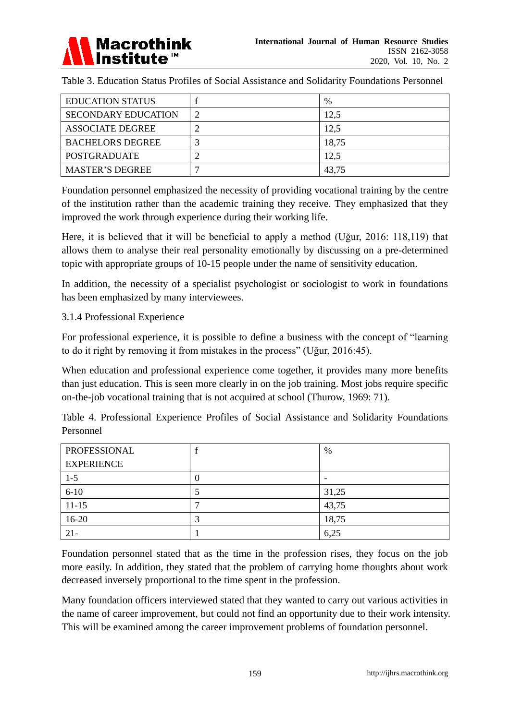

Table 3. Education Status Profiles of Social Assistance and Solidarity Foundations Personnel

| <b>EDUCATION STATUS</b>    |   | $\%$  |
|----------------------------|---|-------|
| <b>SECONDARY EDUCATION</b> | 2 | 12,5  |
| <b>ASSOCIATE DEGREE</b>    |   | 12,5  |
| <b>BACHELORS DEGREE</b>    | ◠ | 18,75 |
| <b>POSTGRADUATE</b>        |   | 12,5  |
| <b>MASTER'S DEGREE</b>     |   | 43,75 |

Foundation personnel emphasized the necessity of providing vocational training by the centre of the institution rather than the academic training they receive. They emphasized that they improved the work through experience during their working life.

Here, it is believed that it will be beneficial to apply a method (Uğur, 2016: 118,119) that allows them to analyse their real personality emotionally by discussing on a pre-determined topic with appropriate groups of 10-15 people under the name of sensitivity education.

In addition, the necessity of a specialist psychologist or sociologist to work in foundations has been emphasized by many interviewees.

# 3.1.4 Professional Experience

For professional experience, it is possible to define a business with the concept of "learning to do it right by removing it from mistakes in the process" (Uğur, 2016:45).

When education and professional experience come together, it provides many more benefits than just education. This is seen more clearly in on the job training. Most jobs require specific on-the-job vocational training that is not acquired at school (Thurow, 1969: 71).

Table 4. Professional Experience Profiles of Social Assistance and Solidarity Foundations Personnel

| PROFESSIONAL      |   | %                        |
|-------------------|---|--------------------------|
| <b>EXPERIENCE</b> |   |                          |
| $1 - 5$           | U | $\overline{\phantom{0}}$ |
| $6 - 10$          |   | 31,25                    |
| $11 - 15$         |   | 43,75                    |
| $16-20$           |   | 18,75                    |
| $21 -$            |   | 6,25                     |

Foundation personnel stated that as the time in the profession rises, they focus on the job more easily. In addition, they stated that the problem of carrying home thoughts about work decreased inversely proportional to the time spent in the profession.

Many foundation officers interviewed stated that they wanted to carry out various activities in the name of career improvement, but could not find an opportunity due to their work intensity. This will be examined among the career improvement problems of foundation personnel.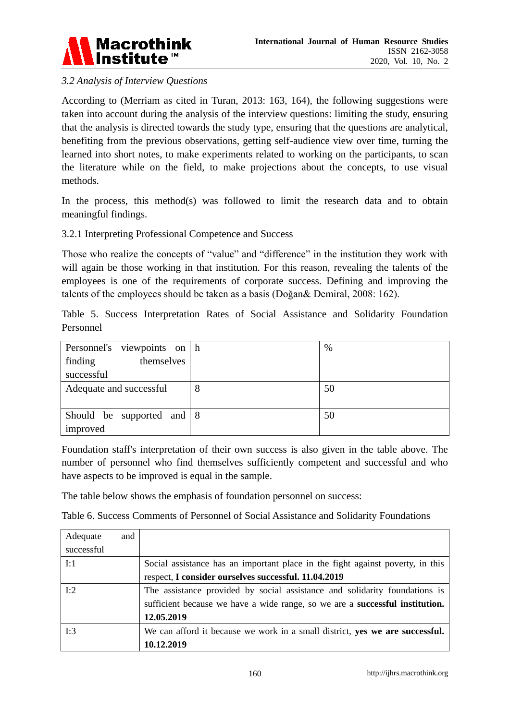

# *3.2 Analysis of Interview Questions*

According to (Merriam as cited in Turan, 2013: 163, 164), the following suggestions were taken into account during the analysis of the interview questions: limiting the study, ensuring that the analysis is directed towards the study type, ensuring that the questions are analytical, benefiting from the previous observations, getting self-audience view over time, turning the learned into short notes, to make experiments related to working on the participants, to scan the literature while on the field, to make projections about the concepts, to use visual methods.

In the process, this method(s) was followed to limit the research data and to obtain meaningful findings.

3.2.1 Interpreting Professional Competence and Success

Those who realize the concepts of "value" and "difference" in the institution they work with will again be those working in that institution. For this reason, revealing the talents of the employees is one of the requirements of corporate success. Defining and improving the talents of the employees should be taken as a basis (Doğan& Demiral, 2008: 162).

Table 5. Success Interpretation Rates of Social Assistance and Solidarity Foundation Personnel

| Personnel's viewpoints on h  |   | %  |
|------------------------------|---|----|
| themselves<br>finding        |   |    |
| successful                   |   |    |
| Adequate and successful      | 8 | 50 |
|                              |   |    |
| Should be supported and $ 8$ |   | 50 |
| improved                     |   |    |

Foundation staff's interpretation of their own success is also given in the table above. The number of personnel who find themselves sufficiently competent and successful and who have aspects to be improved is equal in the sample.

The table below shows the emphasis of foundation personnel on success:

Table 6. Success Comments of Personnel of Social Assistance and Solidarity Foundations

| Adequate   | and |                                                                                     |
|------------|-----|-------------------------------------------------------------------------------------|
| successful |     |                                                                                     |
| I:1        |     | Social assistance has an important place in the fight against poverty, in this      |
|            |     | respect, I consider ourselves successful. 11.04.2019                                |
| I:2        |     | The assistance provided by social assistance and solidarity foundations is          |
|            |     | sufficient because we have a wide range, so we are a <b>successful institution.</b> |
|            |     | 12.05.2019                                                                          |
| I:3        |     | We can afford it because we work in a small district, yes we are successful.        |
|            |     | 10.12.2019                                                                          |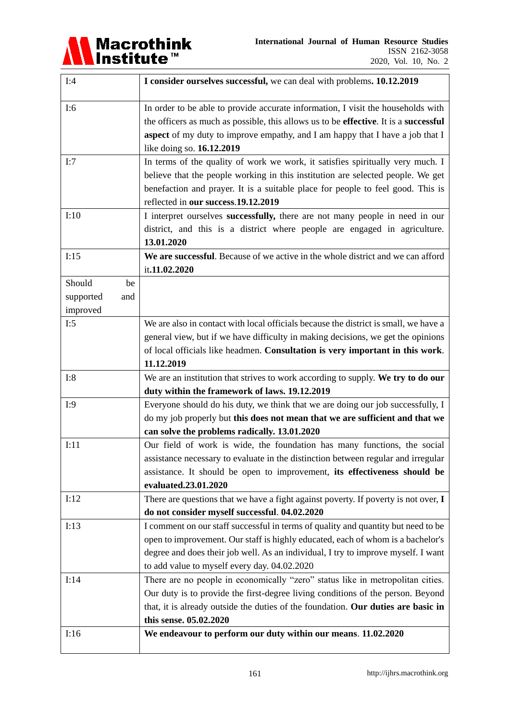

| I:4              | I consider ourselves successful, we can deal with problems. 10.12.2019                                                   |
|------------------|--------------------------------------------------------------------------------------------------------------------------|
| I:6              | In order to be able to provide accurate information, I visit the households with                                         |
|                  | the officers as much as possible, this allows us to be effective. It is a successful                                     |
|                  | aspect of my duty to improve empathy, and I am happy that I have a job that I                                            |
|                  | like doing so. 16.12.2019                                                                                                |
| I:7              | In terms of the quality of work we work, it satisfies spiritually very much. I                                           |
|                  | believe that the people working in this institution are selected people. We get                                          |
|                  | benefaction and prayer. It is a suitable place for people to feel good. This is                                          |
|                  | reflected in our success.19.12.2019                                                                                      |
| I:10             | I interpret ourselves successfully, there are not many people in need in our                                             |
|                  | district, and this is a district where people are engaged in agriculture.                                                |
|                  | 13.01.2020                                                                                                               |
| I:15             | We are successful. Because of we active in the whole district and we can afford                                          |
|                  | it.11.02.2020                                                                                                            |
| Should<br>be     |                                                                                                                          |
| supported<br>and |                                                                                                                          |
| improved         |                                                                                                                          |
| I:5              | We are also in contact with local officials because the district is small, we have a                                     |
|                  | general view, but if we have difficulty in making decisions, we get the opinions                                         |
|                  | of local officials like headmen. Consultation is very important in this work.                                            |
|                  | 11.12.2019                                                                                                               |
| I:8              | We are an institution that strives to work according to supply. We try to do our                                         |
|                  | duty within the framework of laws. 19.12.2019                                                                            |
| I:9              | Everyone should do his duty, we think that we are doing our job successfully, I                                          |
|                  | do my job properly but this does not mean that we are sufficient and that we                                             |
| I:11             | can solve the problems radically. 13.01.2020<br>Our field of work is wide, the foundation has many functions, the social |
|                  | assistance necessary to evaluate in the distinction between regular and irregular                                        |
|                  | assistance. It should be open to improvement, its effectiveness should be                                                |
|                  | evaluated.23.01.2020                                                                                                     |
| I:12             | There are questions that we have a fight against poverty. If poverty is not over, I                                      |
|                  | do not consider myself successful. 04.02.2020                                                                            |
| I:13             | I comment on our staff successful in terms of quality and quantity but need to be                                        |
|                  | open to improvement. Our staff is highly educated, each of whom is a bachelor's                                          |
|                  | degree and does their job well. As an individual, I try to improve myself. I want                                        |
|                  | to add value to myself every day. 04.02.2020                                                                             |
| I:14             | There are no people in economically "zero" status like in metropolitan cities.                                           |
|                  | Our duty is to provide the first-degree living conditions of the person. Beyond                                          |
|                  | that, it is already outside the duties of the foundation. Our duties are basic in                                        |
|                  | this sense. 05.02.2020                                                                                                   |
| I:16             | We endeavour to perform our duty within our means. 11.02.2020                                                            |
|                  |                                                                                                                          |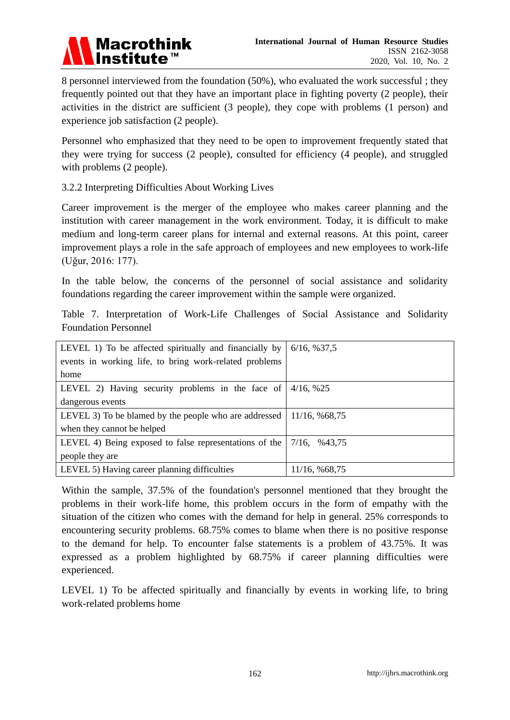

8 personnel interviewed from the foundation (50%), who evaluated the work successful ; they frequently pointed out that they have an important place in fighting poverty (2 people), their activities in the district are sufficient (3 people), they cope with problems (1 person) and experience job satisfaction (2 people).

Personnel who emphasized that they need to be open to improvement frequently stated that they were trying for success (2 people), consulted for efficiency (4 people), and struggled with problems (2 people).

3.2.2 Interpreting Difficulties About Working Lives

Career improvement is the merger of the employee who makes career planning and the institution with career management in the work environment. Today, it is difficult to make medium and long-term career plans for internal and external reasons. At this point, career improvement plays a role in the safe approach of employees and new employees to work-life (Uğur, 2016: 177).

In the table below, the concerns of the personnel of social assistance and solidarity foundations regarding the career improvement within the sample were organized.

Table 7. Interpretation of Work-Life Challenges of Social Assistance and Solidarity Foundation Personnel

| LEVEL 1) To be affected spiritually and financially by | 6/16, %37,5     |
|--------------------------------------------------------|-----------------|
| events in working life, to bring work-related problems |                 |
| home                                                   |                 |
| LEVEL 2) Having security problems in the face of       | 4/16, %25       |
| dangerous events                                       |                 |
| LEVEL 3) To be blamed by the people who are addressed  | 11/16, %68,75   |
| when they cannot be helped                             |                 |
| LEVEL 4) Being exposed to false representations of the | $7/16$ , %43,75 |
| people they are                                        |                 |
| LEVEL 5) Having career planning difficulties           | 11/16, %68,75   |

Within the sample, 37.5% of the foundation's personnel mentioned that they brought the problems in their work-life home, this problem occurs in the form of empathy with the situation of the citizen who comes with the demand for help in general. 25% corresponds to encountering security problems. 68.75% comes to blame when there is no positive response to the demand for help. To encounter false statements is a problem of 43.75%. It was expressed as a problem highlighted by 68.75% if career planning difficulties were experienced.

LEVEL 1) To be affected spiritually and financially by events in working life, to bring work-related problems home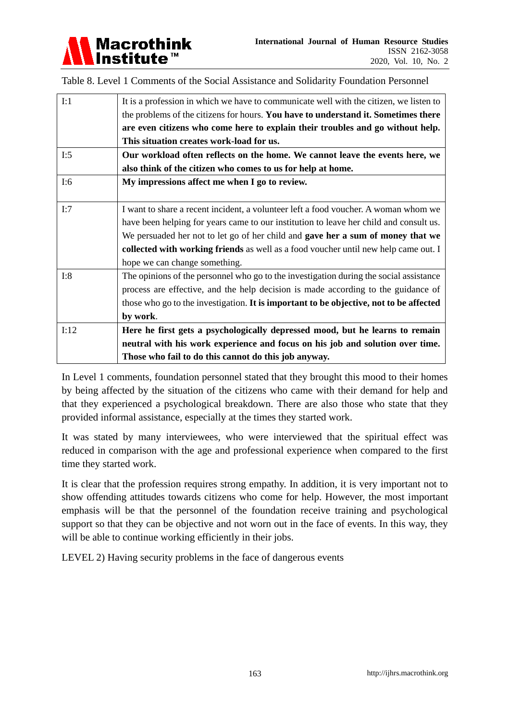

Table 8. Level 1 Comments of the Social Assistance and Solidarity Foundation Personnel

| I:1  | It is a profession in which we have to communicate well with the citizen, we listen to |
|------|----------------------------------------------------------------------------------------|
|      | the problems of the citizens for hours. You have to understand it. Sometimes there     |
|      | are even citizens who come here to explain their troubles and go without help.         |
|      | This situation creates work-load for us.                                               |
| I:5  | Our workload often reflects on the home. We cannot leave the events here, we           |
|      | also think of the citizen who comes to us for help at home.                            |
| I:6  | My impressions affect me when I go to review.                                          |
|      |                                                                                        |
| I:7  | I want to share a recent incident, a volunteer left a food voucher. A woman whom we    |
|      | have been helping for years came to our institution to leave her child and consult us. |
|      | We persuaded her not to let go of her child and gave her a sum of money that we        |
|      | collected with working friends as well as a food voucher until new help came out. I    |
|      | hope we can change something.                                                          |
| I:8  | The opinions of the personnel who go to the investigation during the social assistance |
|      | process are effective, and the help decision is made according to the guidance of      |
|      | those who go to the investigation. It is important to be objective, not to be affected |
|      | by work.                                                                               |
| I:12 | Here he first gets a psychologically depressed mood, but he learns to remain           |
|      | neutral with his work experience and focus on his job and solution over time.          |
|      | Those who fail to do this cannot do this job anyway.                                   |

In Level 1 comments, foundation personnel stated that they brought this mood to their homes by being affected by the situation of the citizens who came with their demand for help and that they experienced a psychological breakdown. There are also those who state that they provided informal assistance, especially at the times they started work.

It was stated by many interviewees, who were interviewed that the spiritual effect was reduced in comparison with the age and professional experience when compared to the first time they started work.

It is clear that the profession requires strong empathy. In addition, it is very important not to show offending attitudes towards citizens who come for help. However, the most important emphasis will be that the personnel of the foundation receive training and psychological support so that they can be objective and not worn out in the face of events. In this way, they will be able to continue working efficiently in their jobs.

LEVEL 2) Having security problems in the face of dangerous events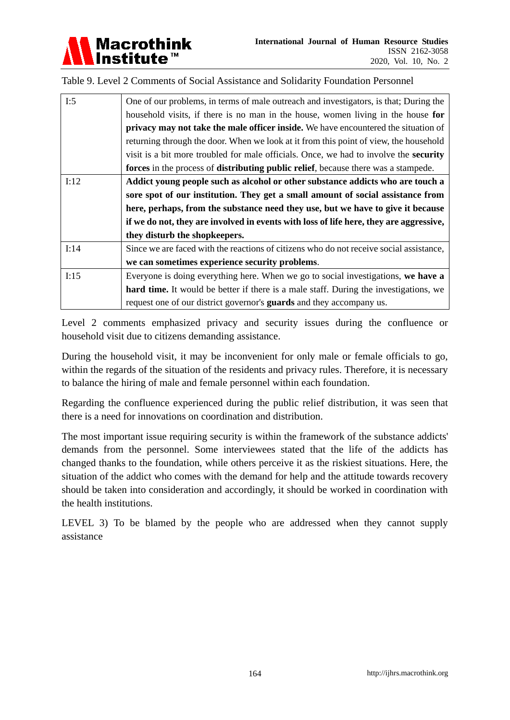

Table 9. Level 2 Comments of Social Assistance and Solidarity Foundation Personnel

| I:5  | One of our problems, in terms of male outreach and investigators, is that; During the        |
|------|----------------------------------------------------------------------------------------------|
|      | household visits, if there is no man in the house, women living in the house for             |
|      | privacy may not take the male officer inside. We have encountered the situation of           |
|      | returning through the door. When we look at it from this point of view, the household        |
|      | visit is a bit more troubled for male officials. Once, we had to involve the <b>security</b> |
|      | forces in the process of distributing public relief, because there was a stampede.           |
| I:12 | Addict young people such as alcohol or other substance addicts who are touch a               |
|      | sore spot of our institution. They get a small amount of social assistance from              |
|      | here, perhaps, from the substance need they use, but we have to give it because              |
|      | if we do not, they are involved in events with loss of life here, they are aggressive,       |
|      | they disturb the shopkeepers.                                                                |
| I:14 | Since we are faced with the reactions of citizens who do not receive social assistance,      |
|      | we can sometimes experience security problems.                                               |
| I:15 | Everyone is doing everything here. When we go to social investigations, we have a            |
|      | <b>hard time.</b> It would be better if there is a male staff. During the investigations, we |
|      | request one of our district governor's <b>guards</b> and they accompany us.                  |

Level 2 comments emphasized privacy and security issues during the confluence or household visit due to citizens demanding assistance.

During the household visit, it may be inconvenient for only male or female officials to go, within the regards of the situation of the residents and privacy rules. Therefore, it is necessary to balance the hiring of male and female personnel within each foundation.

Regarding the confluence experienced during the public relief distribution, it was seen that there is a need for innovations on coordination and distribution.

The most important issue requiring security is within the framework of the substance addicts' demands from the personnel. Some interviewees stated that the life of the addicts has changed thanks to the foundation, while others perceive it as the riskiest situations. Here, the situation of the addict who comes with the demand for help and the attitude towards recovery should be taken into consideration and accordingly, it should be worked in coordination with the health institutions.

LEVEL 3) To be blamed by the people who are addressed when they cannot supply assistance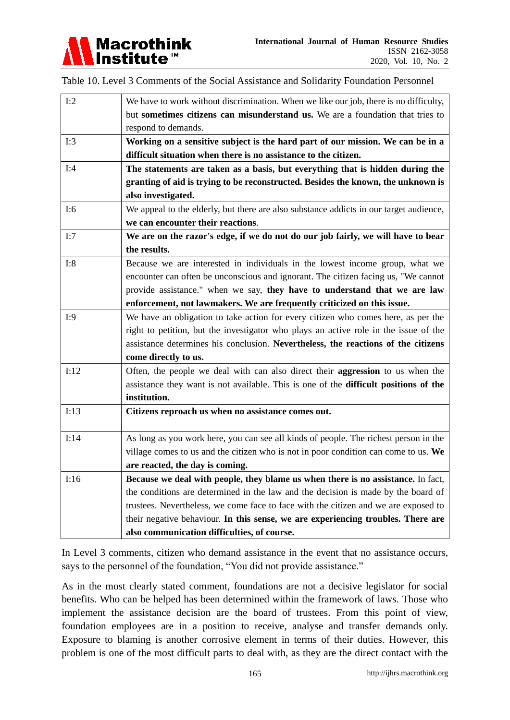

Table 10. Level 3 Comments of the Social Assistance and Solidarity Foundation Personnel

| I:2  | We have to work without discrimination. When we like our job, there is no difficulty,  |
|------|----------------------------------------------------------------------------------------|
|      | but sometimes citizens can misunderstand us. We are a foundation that tries to         |
|      | respond to demands.                                                                    |
| I:3  | Working on a sensitive subject is the hard part of our mission. We can be in a         |
|      | difficult situation when there is no assistance to the citizen.                        |
| I:4  | The statements are taken as a basis, but everything that is hidden during the          |
|      | granting of aid is trying to be reconstructed. Besides the known, the unknown is       |
|      | also investigated.                                                                     |
| I:6  | We appeal to the elderly, but there are also substance addicts in our target audience, |
|      | we can encounter their reactions.                                                      |
| I:7  | We are on the razor's edge, if we do not do our job fairly, we will have to bear       |
|      | the results.                                                                           |
| I:8  | Because we are interested in individuals in the lowest income group, what we           |
|      | encounter can often be unconscious and ignorant. The citizen facing us, "We cannot     |
|      | provide assistance." when we say, they have to understand that we are law              |
|      | enforcement, not lawmakers. We are frequently criticized on this issue.                |
| I:9  | We have an obligation to take action for every citizen who comes here, as per the      |
|      | right to petition, but the investigator who plays an active role in the issue of the   |
|      | assistance determines his conclusion. Nevertheless, the reactions of the citizens      |
|      | come directly to us.                                                                   |
| I:12 | Often, the people we deal with can also direct their <b>aggression</b> to us when the  |
|      | assistance they want is not available. This is one of the difficult positions of the   |
|      | institution.                                                                           |
| I:13 | Citizens reproach us when no assistance comes out.                                     |
|      |                                                                                        |
| I:14 | As long as you work here, you can see all kinds of people. The richest person in the   |
|      | village comes to us and the citizen who is not in poor condition can come to us. We    |
|      | are reacted, the day is coming.                                                        |
| I:16 | Because we deal with people, they blame us when there is no assistance. In fact,       |
|      | the conditions are determined in the law and the decision is made by the board of      |
|      | trustees. Nevertheless, we come face to face with the citizen and we are exposed to    |
|      | their negative behaviour. In this sense, we are experiencing troubles. There are       |
|      | also communication difficulties, of course.                                            |

In Level 3 comments, citizen who demand assistance in the event that no assistance occurs, says to the personnel of the foundation, "You did not provide assistance."

As in the most clearly stated comment, foundations are not a decisive legislator for social benefits. Who can be helped has been determined within the framework of laws. Those who implement the assistance decision are the board of trustees. From this point of view, foundation employees are in a position to receive, analyse and transfer demands only. Exposure to blaming is another corrosive element in terms of their duties. However, this problem is one of the most difficult parts to deal with, as they are the direct contact with the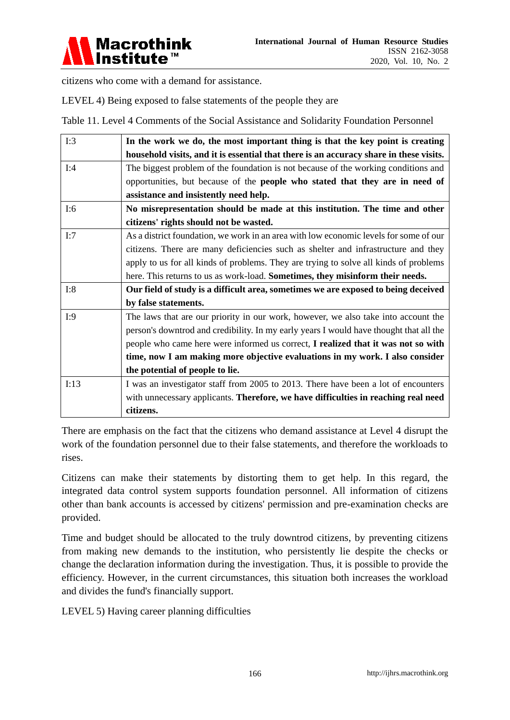

citizens who come with a demand for assistance.

LEVEL 4) Being exposed to false statements of the people they are

Table 11. Level 4 Comments of the Social Assistance and Solidarity Foundation Personnel

| I:3                                                                                       | In the work we do, the most important thing is that the key point is creating          |
|-------------------------------------------------------------------------------------------|----------------------------------------------------------------------------------------|
|                                                                                           | household visits, and it is essential that there is an accuracy share in these visits. |
| I:4                                                                                       | The biggest problem of the foundation is not because of the working conditions and     |
|                                                                                           | opportunities, but because of the people who stated that they are in need of           |
|                                                                                           | assistance and insistently need help.                                                  |
| I:6                                                                                       | No misrepresentation should be made at this institution. The time and other            |
|                                                                                           | citizens' rights should not be wasted.                                                 |
| I:7                                                                                       | As a district foundation, we work in an area with low economic levels for some of our  |
|                                                                                           | citizens. There are many deficiencies such as shelter and infrastructure and they      |
|                                                                                           | apply to us for all kinds of problems. They are trying to solve all kinds of problems  |
|                                                                                           | here. This returns to us as work-load. Sometimes, they misinform their needs.          |
| I:8<br>Our field of study is a difficult area, sometimes we are exposed to being deceived |                                                                                        |
|                                                                                           | by false statements.                                                                   |
| I:9                                                                                       | The laws that are our priority in our work, however, we also take into account the     |
|                                                                                           | person's downtrod and credibility. In my early years I would have thought that all the |
|                                                                                           | people who came here were informed us correct, I realized that it was not so with      |
|                                                                                           | time, now I am making more objective evaluations in my work. I also consider           |
|                                                                                           | the potential of people to lie.                                                        |
| I:13                                                                                      | I was an investigator staff from 2005 to 2013. There have been a lot of encounters     |
|                                                                                           | with unnecessary applicants. Therefore, we have difficulties in reaching real need     |
|                                                                                           | citizens.                                                                              |

There are emphasis on the fact that the citizens who demand assistance at Level 4 disrupt the work of the foundation personnel due to their false statements, and therefore the workloads to rises.

Citizens can make their statements by distorting them to get help. In this regard, the integrated data control system supports foundation personnel. All information of citizens other than bank accounts is accessed by citizens' permission and pre-examination checks are provided.

Time and budget should be allocated to the truly downtrod citizens, by preventing citizens from making new demands to the institution, who persistently lie despite the checks or change the declaration information during the investigation. Thus, it is possible to provide the efficiency. However, in the current circumstances, this situation both increases the workload and divides the fund's financially support.

LEVEL 5) Having career planning difficulties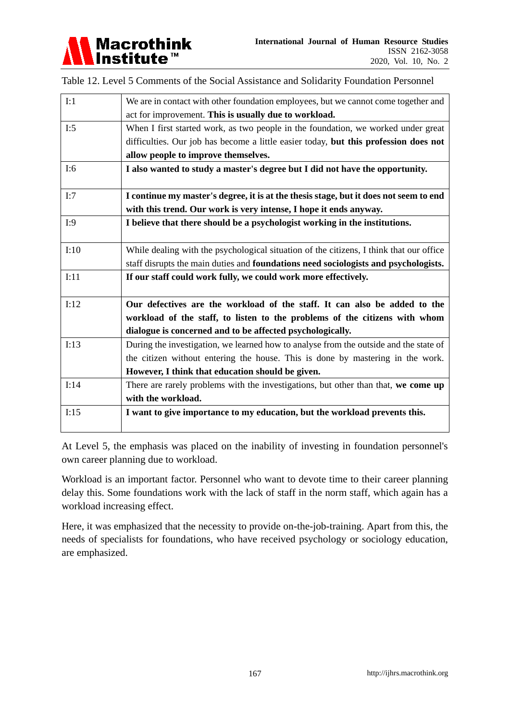

Table 12. Level 5 Comments of the Social Assistance and Solidarity Foundation Personnel

| I:1  | We are in contact with other foundation employees, but we cannot come together and      |
|------|-----------------------------------------------------------------------------------------|
|      | act for improvement. This is usually due to workload.                                   |
| I:5  | When I first started work, as two people in the foundation, we worked under great       |
|      | difficulties. Our job has become a little easier today, but this profession does not    |
|      | allow people to improve themselves.                                                     |
| I:6  | I also wanted to study a master's degree but I did not have the opportunity.            |
| I:7  | I continue my master's degree, it is at the thesis stage, but it does not seem to end   |
|      | with this trend. Our work is very intense, I hope it ends anyway.                       |
| I:9  | I believe that there should be a psychologist working in the institutions.              |
|      |                                                                                         |
| I:10 | While dealing with the psychological situation of the citizens, I think that our office |
|      | staff disrupts the main duties and foundations need sociologists and psychologists.     |
| I:11 | If our staff could work fully, we could work more effectively.                          |
|      |                                                                                         |
| I:12 | Our defectives are the workload of the staff. It can also be added to the               |
|      | workload of the staff, to listen to the problems of the citizens with whom              |
|      | dialogue is concerned and to be affected psychologically.                               |
| I:13 | During the investigation, we learned how to analyse from the outside and the state of   |
|      | the citizen without entering the house. This is done by mastering in the work.          |
|      | However, I think that education should be given.                                        |
| I:14 | There are rarely problems with the investigations, but other than that, we come up      |
|      | with the workload.                                                                      |
| I:15 | I want to give importance to my education, but the workload prevents this.              |
|      |                                                                                         |

At Level 5, the emphasis was placed on the inability of investing in foundation personnel's own career planning due to workload.

Workload is an important factor. Personnel who want to devote time to their career planning delay this. Some foundations work with the lack of staff in the norm staff, which again has a workload increasing effect.

Here, it was emphasized that the necessity to provide on-the-job-training. Apart from this, the needs of specialists for foundations, who have received psychology or sociology education, are emphasized.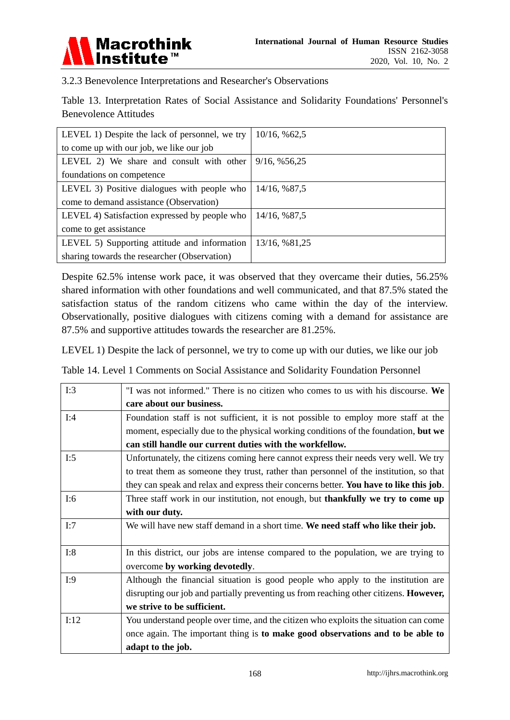

3.2.3 Benevolence Interpretations and Researcher's Observations

Table 13. Interpretation Rates of Social Assistance and Solidarity Foundations' Personnel's Benevolence Attitudes

| LEVEL 1) Despite the lack of personnel, we try | 10/16, %62,5  |
|------------------------------------------------|---------------|
| to come up with our job, we like our job       |               |
| LEVEL 2) We share and consult with other       | 9/16, %56,25  |
| foundations on competence                      |               |
| LEVEL 3) Positive dialogues with people who    | 14/16, %87,5  |
| come to demand assistance (Observation)        |               |
| LEVEL 4) Satisfaction expressed by people who  | 14/16, %87,5  |
| come to get assistance                         |               |
| LEVEL 5) Supporting attitude and information   | 13/16, %81,25 |
| sharing towards the researcher (Observation)   |               |

Despite 62.5% intense work pace, it was observed that they overcame their duties, 56.25% shared information with other foundations and well communicated, and that 87.5% stated the satisfaction status of the random citizens who came within the day of the interview. Observationally, positive dialogues with citizens coming with a demand for assistance are 87.5% and supportive attitudes towards the researcher are 81.25%.

LEVEL 1) Despite the lack of personnel, we try to come up with our duties, we like our job

Table 14. Level 1 Comments on Social Assistance and Solidarity Foundation Personnel

| I:3  | "I was not informed." There is no citizen who comes to us with his discourse. We       |
|------|----------------------------------------------------------------------------------------|
|      | care about our business.                                                               |
| I:4  | Foundation staff is not sufficient, it is not possible to employ more staff at the     |
|      | moment, especially due to the physical working conditions of the foundation, but we    |
|      | can still handle our current duties with the workfellow.                               |
| I:5  | Unfortunately, the citizens coming here cannot express their needs very well. We try   |
|      | to treat them as someone they trust, rather than personnel of the institution, so that |
|      | they can speak and relax and express their concerns better. You have to like this job. |
| I:6  | Three staff work in our institution, not enough, but thankfully we try to come up      |
|      | with our duty.                                                                         |
| I:7  | We will have new staff demand in a short time. We need staff who like their job.       |
|      |                                                                                        |
| I:8  | In this district, our jobs are intense compared to the population, we are trying to    |
|      | overcome by working devotedly.                                                         |
| I:9  | Although the financial situation is good people who apply to the institution are       |
|      | disrupting our job and partially preventing us from reaching other citizens. However,  |
|      | we strive to be sufficient.                                                            |
| I:12 | You understand people over time, and the citizen who exploits the situation can come   |
|      | once again. The important thing is to make good observations and to be able to         |
|      | adapt to the job.                                                                      |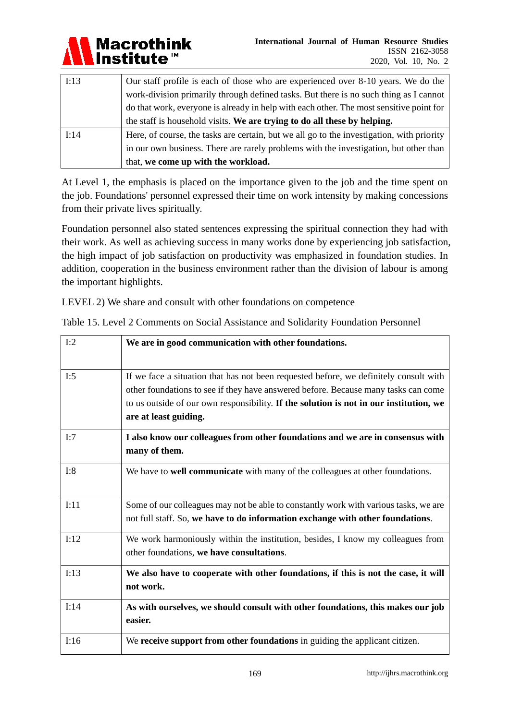

| I:13 | Our staff profile is each of those who are experienced over 8-10 years. We do the         |
|------|-------------------------------------------------------------------------------------------|
|      | work-division primarily through defined tasks. But there is no such thing as I cannot     |
|      | do that work, everyone is already in help with each other. The most sensitive point for   |
|      | the staff is household visits. We are trying to do all these by helping.                  |
| I:14 | Here, of course, the tasks are certain, but we all go to the investigation, with priority |
|      | in our own business. There are rarely problems with the investigation, but other than     |
|      | that, we come up with the workload.                                                       |

At Level 1, the emphasis is placed on the importance given to the job and the time spent on the job. Foundations' personnel expressed their time on work intensity by making concessions from their private lives spiritually.

Foundation personnel also stated sentences expressing the spiritual connection they had with their work. As well as achieving success in many works done by experiencing job satisfaction, the high impact of job satisfaction on productivity was emphasized in foundation studies. In addition, cooperation in the business environment rather than the division of labour is among the important highlights.

LEVEL 2) We share and consult with other foundations on competence

| I:2  | We are in good communication with other foundations.                                                                                                                        |
|------|-----------------------------------------------------------------------------------------------------------------------------------------------------------------------------|
| I:5  | If we face a situation that has not been requested before, we definitely consult with<br>other foundations to see if they have answered before. Because many tasks can come |
|      | to us outside of our own responsibility. If the solution is not in our institution, we<br>are at least guiding.                                                             |
| I:7  | I also know our colleagues from other foundations and we are in consensus with<br>many of them.                                                                             |
| I:8  | We have to well communicate with many of the colleagues at other foundations.                                                                                               |
| I:11 | Some of our colleagues may not be able to constantly work with various tasks, we are<br>not full staff. So, we have to do information exchange with other foundations.      |
| I:12 | We work harmoniously within the institution, besides, I know my colleagues from<br>other foundations, we have consultations.                                                |
| I:13 | We also have to cooperate with other foundations, if this is not the case, it will<br>not work.                                                                             |
| I:14 | As with ourselves, we should consult with other foundations, this makes our job<br>easier.                                                                                  |
| I:16 | We receive support from other foundations in guiding the applicant citizen.                                                                                                 |

Table 15. Level 2 Comments on Social Assistance and Solidarity Foundation Personnel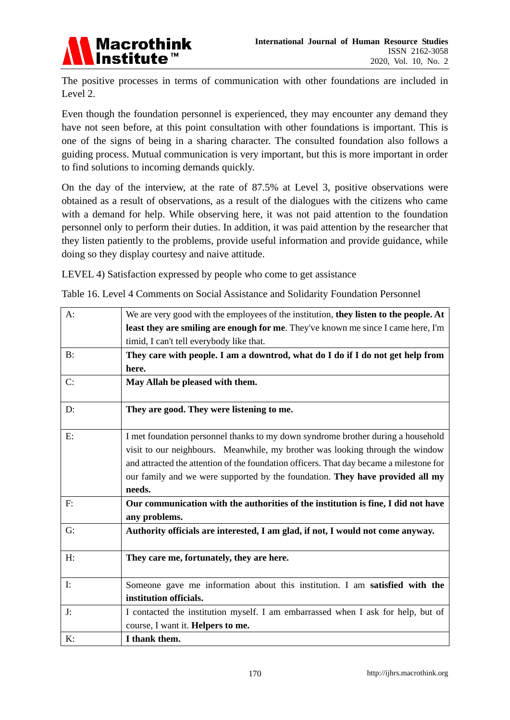

The positive processes in terms of communication with other foundations are included in Level 2.

Even though the foundation personnel is experienced, they may encounter any demand they have not seen before, at this point consultation with other foundations is important. This is one of the signs of being in a sharing character. The consulted foundation also follows a guiding process. Mutual communication is very important, but this is more important in order to find solutions to incoming demands quickly.

On the day of the interview, at the rate of 87.5% at Level 3, positive observations were obtained as a result of observations, as a result of the dialogues with the citizens who came with a demand for help. While observing here, it was not paid attention to the foundation personnel only to perform their duties. In addition, it was paid attention by the researcher that they listen patiently to the problems, provide useful information and provide guidance, while doing so they display courtesy and naive attitude.

LEVEL 4) Satisfaction expressed by people who come to get assistance

Table 16. Level 4 Comments on Social Assistance and Solidarity Foundation Personnel

| $A$ :          | We are very good with the employees of the institution, they listen to the people. At              |
|----------------|----------------------------------------------------------------------------------------------------|
|                | least they are smiling are enough for me. They've known me since I came here, I'm                  |
|                | timid, I can't tell everybody like that.                                                           |
| $B$ :          | They care with people. I am a downtrod, what do I do if I do not get help from                     |
|                | here.                                                                                              |
| C:             | May Allah be pleased with them.                                                                    |
| D:             | They are good. They were listening to me.                                                          |
| E:             | I met foundation personnel thanks to my down syndrome brother during a household                   |
|                | visit to our neighbours. Meanwhile, my brother was looking through the window                      |
|                | and attracted the attention of the foundation officers. That day became a milestone for            |
|                | our family and we were supported by the foundation. They have provided all my                      |
|                | needs.                                                                                             |
| F:             | Our communication with the authorities of the institution is fine, I did not have<br>any problems. |
| G:             | Authority officials are interested, I am glad, if not, I would not come anyway.                    |
| H:             | They care me, fortunately, they are here.                                                          |
| $\mathbf{I}$ : | Someone gave me information about this institution. I am satisfied with the                        |
|                | institution officials.                                                                             |
| J:             | I contacted the institution myself. I am embarrassed when I ask for help, but of                   |
|                | course, I want it. Helpers to me.                                                                  |
| K:             | I thank them.                                                                                      |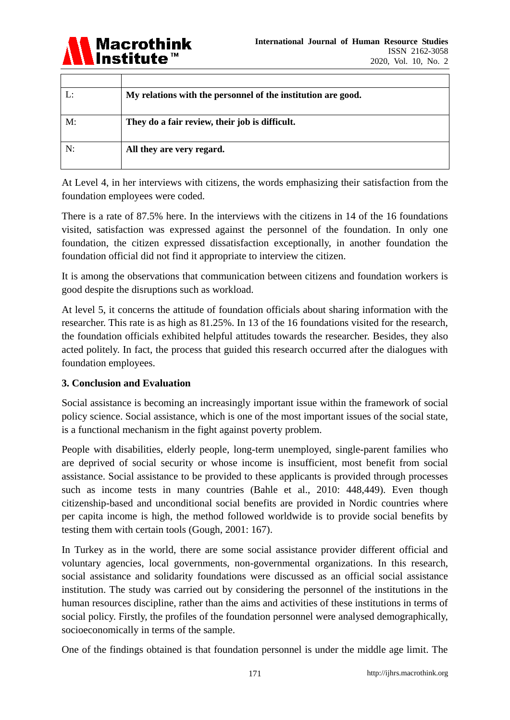

|    | My relations with the personnel of the institution are good. |
|----|--------------------------------------------------------------|
| M: | They do a fair review, their job is difficult.               |
| N: | All they are very regard.                                    |

At Level 4, in her interviews with citizens, the words emphasizing their satisfaction from the foundation employees were coded.

There is a rate of 87.5% here. In the interviews with the citizens in 14 of the 16 foundations visited, satisfaction was expressed against the personnel of the foundation. In only one foundation, the citizen expressed dissatisfaction exceptionally, in another foundation the foundation official did not find it appropriate to interview the citizen.

It is among the observations that communication between citizens and foundation workers is good despite the disruptions such as workload.

At level 5, it concerns the attitude of foundation officials about sharing information with the researcher. This rate is as high as 81.25%. In 13 of the 16 foundations visited for the research, the foundation officials exhibited helpful attitudes towards the researcher. Besides, they also acted politely. In fact, the process that guided this research occurred after the dialogues with foundation employees.

# **3. Conclusion and Evaluation**

Social assistance is becoming an increasingly important issue within the framework of social policy science. Social assistance, which is one of the most important issues of the social state, is a functional mechanism in the fight against poverty problem.

People with disabilities, elderly people, long-term unemployed, single-parent families who are deprived of social security or whose income is insufficient, most benefit from social assistance. Social assistance to be provided to these applicants is provided through processes such as income tests in many countries (Bahle et al., 2010: 448,449). Even though citizenship-based and unconditional social benefits are provided in Nordic countries where per capita income is high, the method followed worldwide is to provide social benefits by testing them with certain tools (Gough, 2001: 167).

In Turkey as in the world, there are some social assistance provider different official and voluntary agencies, local governments, non-governmental organizations. In this research, social assistance and solidarity foundations were discussed as an official social assistance institution. The study was carried out by considering the personnel of the institutions in the human resources discipline, rather than the aims and activities of these institutions in terms of social policy. Firstly, the profiles of the foundation personnel were analysed demographically, socioeconomically in terms of the sample.

One of the findings obtained is that foundation personnel is under the middle age limit. The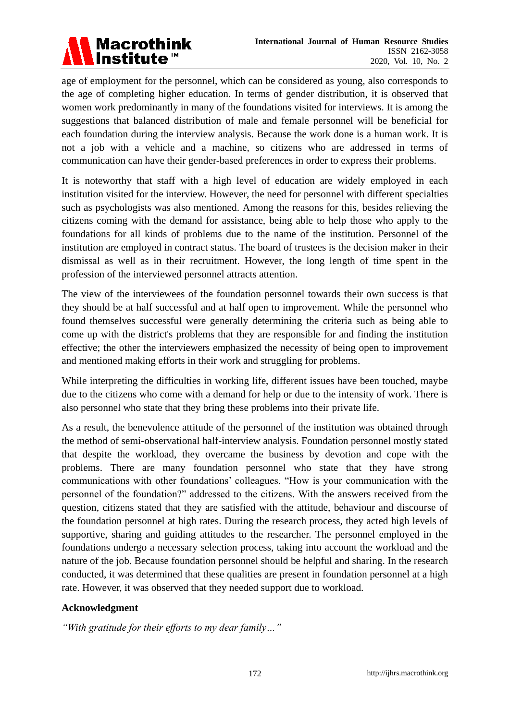

age of employment for the personnel, which can be considered as young, also corresponds to the age of completing higher education. In terms of gender distribution, it is observed that women work predominantly in many of the foundations visited for interviews. It is among the suggestions that balanced distribution of male and female personnel will be beneficial for each foundation during the interview analysis. Because the work done is a human work. It is not a job with a vehicle and a machine, so citizens who are addressed in terms of communication can have their gender-based preferences in order to express their problems.

It is noteworthy that staff with a high level of education are widely employed in each institution visited for the interview. However, the need for personnel with different specialties such as psychologists was also mentioned. Among the reasons for this, besides relieving the citizens coming with the demand for assistance, being able to help those who apply to the foundations for all kinds of problems due to the name of the institution. Personnel of the institution are employed in contract status. The board of trustees is the decision maker in their dismissal as well as in their recruitment. However, the long length of time spent in the profession of the interviewed personnel attracts attention.

The view of the interviewees of the foundation personnel towards their own success is that they should be at half successful and at half open to improvement. While the personnel who found themselves successful were generally determining the criteria such as being able to come up with the district's problems that they are responsible for and finding the institution effective; the other the interviewers emphasized the necessity of being open to improvement and mentioned making efforts in their work and struggling for problems.

While interpreting the difficulties in working life, different issues have been touched, maybe due to the citizens who come with a demand for help or due to the intensity of work. There is also personnel who state that they bring these problems into their private life.

As a result, the benevolence attitude of the personnel of the institution was obtained through the method of semi-observational half-interview analysis. Foundation personnel mostly stated that despite the workload, they overcame the business by devotion and cope with the problems. There are many foundation personnel who state that they have strong communications with other foundations' colleagues. "How is your communication with the personnel of the foundation?" addressed to the citizens. With the answers received from the question, citizens stated that they are satisfied with the attitude, behaviour and discourse of the foundation personnel at high rates. During the research process, they acted high levels of supportive, sharing and guiding attitudes to the researcher. The personnel employed in the foundations undergo a necessary selection process, taking into account the workload and the nature of the job. Because foundation personnel should be helpful and sharing. In the research conducted, it was determined that these qualities are present in foundation personnel at a high rate. However, it was observed that they needed support due to workload.

# **Acknowledgment**

*"With gratitude for their efforts to my dear family…"*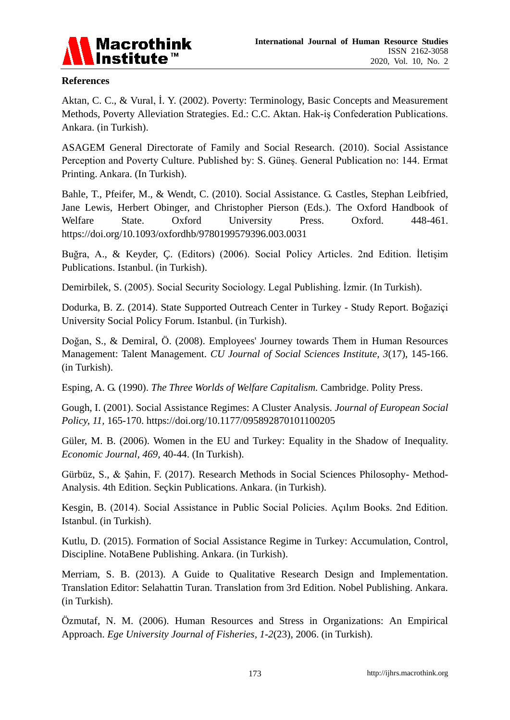

### **References**

Aktan, C. C., & Vural, İ. Y. (2002). Poverty: Terminology, Basic Concepts and Measurement Methods, Poverty Alleviation Strategies. Ed.: C.C. Aktan. Hak-iş Confederation Publications. Ankara. (in Turkish).

ASAGEM General Directorate of Family and Social Research. (2010). Social Assistance Perception and Poverty Culture. Published by: S. Güneş. General Publication no: 144. Ermat Printing. Ankara. (In Turkish).

Bahle, T., Pfeifer, M., & Wendt, C. (2010). Social Assistance. G. Castles, Stephan Leibfried, Jane Lewis, Herbert Obinger, and Christopher Pierson (Eds.). The Oxford Handbook of Welfare State. Oxford University Press. Oxford. 448-461. <https://doi.org/10.1093/oxfordhb/9780199579396.003.0031>

Buğra, A., & Keyder, Ç. (Editors) (2006). Social Policy Articles. 2nd Edition. İletişim Publications. Istanbul. (in Turkish).

Demirbilek, S. (2005). Social Security Sociology. Legal Publishing. İzmir. (In Turkish).

Dodurka, B. Z. (2014). State Supported Outreach Center in Turkey - Study Report. Boğaziçi University Social Policy Forum. Istanbul. (in Turkish).

Doğan, S., & Demiral, Ö. (2008). Employees' Journey towards Them in Human Resources Management: Talent Management. *CU Journal of Social Sciences Institute, 3*(17), 145-166. (in Turkish).

Esping, A. G. (1990). *The Three Worlds of Welfare Capitalism.* Cambridge. Polity Press.

Gough, I. (2001). Social Assistance Regimes: A Cluster Analysis. *Journal of European Social Policy, 11,* 165-170. <https://doi.org/10.1177/095892870101100205>

Güler, M. B. (2006). Women in the EU and Turkey: Equality in the Shadow of Inequality. *Economic Journal, 469,* 40-44. (In Turkish).

Gürbüz, S., & Şahin, F. (2017). Research Methods in Social Sciences Philosophy- Method-Analysis. 4th Edition. Se ckin Publications. Ankara. (in Turkish).

Kesgin, B. (2014). Social Assistance in Public Social Policies. Açılım Books. 2nd Edition. Istanbul. (in Turkish).

Kutlu, D. (2015). Formation of Social Assistance Regime in Turkey: Accumulation, Control, Discipline. NotaBene Publishing. Ankara. (in Turkish).

Merriam, S. B. (2013). A Guide to Qualitative Research Design and Implementation. Translation Editor: Selahattin Turan. Translation from 3rd Edition. Nobel Publishing. Ankara. (in Turkish).

Özmutaf, N. M. (2006). Human Resources and Stress in Organizations: An Empirical Approach. *Ege University Journal of Fisheries, 1-2*(23), 2006. (in Turkish).